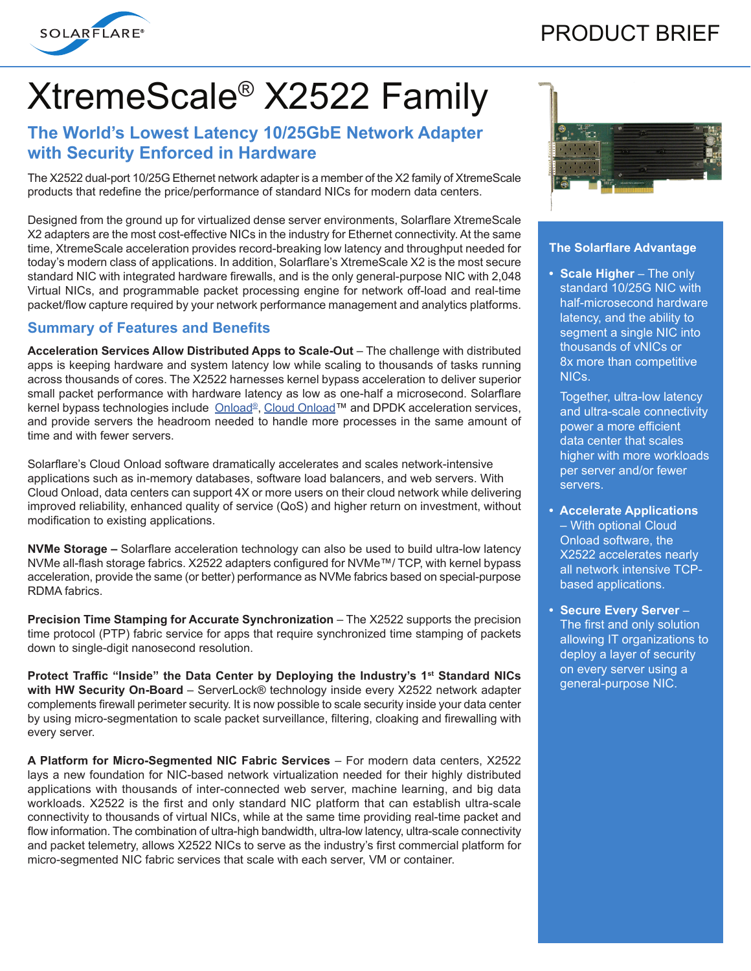

# PRODUCT BRIEF

# XtremeScale® X2522 Family

## **The World's Lowest Latency 10/25GbE Network Adapter with Security Enforced in Hardware**

The X2522 dual-port 10/25G Ethernet network adapter is a member of the X2 family of XtremeScale products that redefine the price/performance of standard NICs for modern data centers.

Designed from the ground up for virtualized dense server environments, Solarflare XtremeScale X2 adapters are the most cost-effective NICs in the industry for Ethernet connectivity. At the same time, XtremeScale acceleration provides record-breaking low latency and throughput needed for today's modern class of applications. In addition, Solarflare's XtremeScale X2 is the most secure standard NIC with integrated hardware firewalls, and is the only general-purpose NIC with 2,048 Virtual NICs, and programmable packet processing engine for network off-load and real-time packet/flow capture required by your network performance management and analytics platforms.

#### **Summary of Features and Benefits**

**Acceleration Services Allow Distributed Apps to Scale-Out** – The challenge with distributed apps is keeping hardware and system latency low while scaling to thousands of tasks running across thousands of cores. The X2522 harnesses kernel bypass acceleration to deliver superior small packet performance with hardware latency as low as one-half a microsecond. Solarflare kernel bypass technologies include Onload®, Cloud Onload™ and DPDK acceleration services, and provide servers the headroom needed to handle more processes in the same amount of time and with fewer servers.

Solarflare's Cloud Onload software dramatically accelerates and scales network-intensive applications such as in-memory databases, software load balancers, and web servers. With Cloud Onload, data centers can support 4X or more users on their cloud network while delivering improved reliability, enhanced quality of service (QoS) and higher return on investment, without modification to existing applications.

**NVMe Storage –** Solarflare acceleration technology can also be used to build ultra-low latency NVMe all-flash storage fabrics. X2522 adapters configured for NVMe™/ TCP, with kernel bypass acceleration, provide the same (or better) performance as NVMe fabrics based on special-purpose RDMA fabrics.

**Precision Time Stamping for Accurate Synchronization** – The X2522 supports the precision time protocol (PTP) fabric service for apps that require synchronized time stamping of packets down to single-digit nanosecond resolution.

**Protect Traffic "Inside" the Data Center by Deploying the Industry's 1st Standard NICs with HW Security On-Board** – ServerLock® technology inside every X2522 network adapter complements firewall perimeter security. It is now possible to scale security inside your data center by using micro-segmentation to scale packet surveillance, filtering, cloaking and firewalling with every server.

**A Platform for Micro-Segmented NIC Fabric Services** – For modern data centers, X2522 lays a new foundation for NIC-based network virtualization needed for their highly distributed applications with thousands of inter-connected web server, machine learning, and big data workloads. X2522 is the first and only standard NIC platform that can establish ultra-scale connectivity to thousands of virtual NICs, while at the same time providing real-time packet and flow information. The combination of ultra-high bandwidth, ultra-low latency, ultra-scale connectivity and packet telemetry, allows X2522 NICs to serve as the industry's first commercial platform for micro-segmented NIC fabric services that scale with each server, VM or container.



#### **The Solarflare Advantage**

**• Scale Higher** – The only standard 10/25G NIC with half-microsecond hardware latency, and the ability to segment a single NIC into thousands of vNICs or 8x more than competitive NICs.

Together, ultra-low latency and ultra-scale connectivity power a more efficient data center that scales higher with more workloads per server and/or fewer servers.

- **Accelerate Applications**  – With optional Cloud Onload software, the X2522 accelerates nearly all network intensive TCPbased applications.
- **Secure Every Server** The first and only solution allowing IT organizations to deploy a layer of security on every server using a general-purpose NIC.